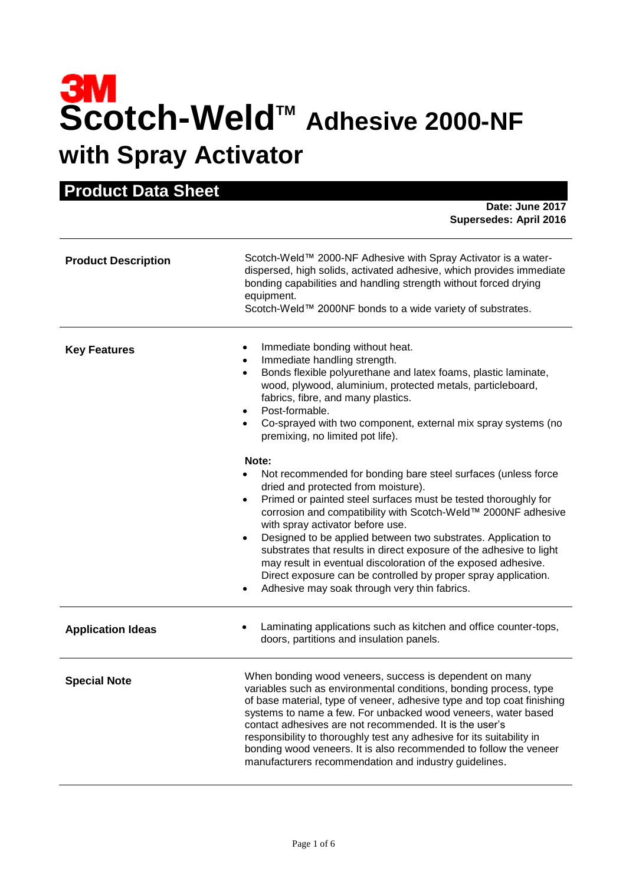# **Scotch-WeldTM Adhesive 2000-NF with Spray Activator**

| <b>Product Data Sheet</b>  |                                                                                                                                                                                                                                                                                                                                                                                                                                                                                                                                                                                                                      |  |
|----------------------------|----------------------------------------------------------------------------------------------------------------------------------------------------------------------------------------------------------------------------------------------------------------------------------------------------------------------------------------------------------------------------------------------------------------------------------------------------------------------------------------------------------------------------------------------------------------------------------------------------------------------|--|
|                            | Date: June 2017<br><b>Supersedes: April 2016</b>                                                                                                                                                                                                                                                                                                                                                                                                                                                                                                                                                                     |  |
| <b>Product Description</b> | Scotch-Weld™ 2000-NF Adhesive with Spray Activator is a water-<br>dispersed, high solids, activated adhesive, which provides immediate<br>bonding capabilities and handling strength without forced drying<br>equipment.<br>Scotch-Weld™ 2000NF bonds to a wide variety of substrates.                                                                                                                                                                                                                                                                                                                               |  |
| <b>Key Features</b>        | Immediate bonding without heat.<br>٠<br>Immediate handling strength.<br>$\bullet$<br>Bonds flexible polyurethane and latex foams, plastic laminate,<br>wood, plywood, aluminium, protected metals, particleboard,<br>fabrics, fibre, and many plastics.<br>Post-formable.<br>Co-sprayed with two component, external mix spray systems (no<br>premixing, no limited pot life).                                                                                                                                                                                                                                       |  |
|                            | Note:<br>Not recommended for bonding bare steel surfaces (unless force<br>dried and protected from moisture).<br>Primed or painted steel surfaces must be tested thoroughly for<br>corrosion and compatibility with Scotch-Weld™ 2000NF adhesive<br>with spray activator before use.<br>Designed to be applied between two substrates. Application to<br>٠<br>substrates that results in direct exposure of the adhesive to light<br>may result in eventual discoloration of the exposed adhesive.<br>Direct exposure can be controlled by proper spray application.<br>Adhesive may soak through very thin fabrics. |  |
| <b>Application Ideas</b>   | Laminating applications such as kitchen and office counter-tops,<br>doors, partitions and insulation panels.                                                                                                                                                                                                                                                                                                                                                                                                                                                                                                         |  |
| <b>Special Note</b>        | When bonding wood veneers, success is dependent on many<br>variables such as environmental conditions, bonding process, type<br>of base material, type of veneer, adhesive type and top coat finishing<br>systems to name a few. For unbacked wood veneers, water based<br>contact adhesives are not recommended. It is the user's<br>responsibility to thoroughly test any adhesive for its suitability in<br>bonding wood veneers. It is also recommended to follow the veneer<br>manufacturers recommendation and industry guidelines.                                                                            |  |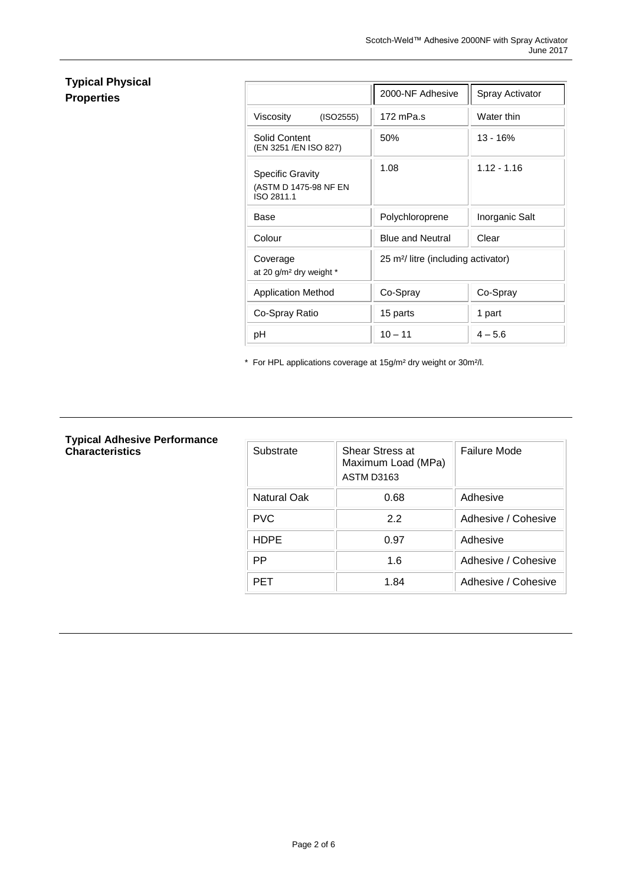### **Typical Physical Properties**

|                                                                | 2000-NF Adhesive                               | Spray Activator |  |
|----------------------------------------------------------------|------------------------------------------------|-----------------|--|
| Viscosity<br>(ISO2555)                                         | 172 mPa.s                                      | Water thin      |  |
| Solid Content<br>(EN 3251 /EN ISO 827)                         | 50%                                            | $13 - 16%$      |  |
| <b>Specific Gravity</b><br>(ASTM D 1475-98 NF EN<br>ISO 2811.1 | 1.08                                           | $1.12 - 1.16$   |  |
| Base                                                           | Polychloroprene                                | Inorganic Salt  |  |
| Colour                                                         | <b>Blue and Neutral</b>                        | Clear           |  |
| Coverage<br>at 20 g/m <sup>2</sup> dry weight *                | 25 m <sup>2</sup> /litre (including activator) |                 |  |
| <b>Application Method</b>                                      | Co-Spray                                       | Co-Spray        |  |
| Co-Spray Ratio                                                 | 15 parts                                       | 1 part          |  |
| рH                                                             | $10 - 11$                                      | $4 - 5.6$       |  |

\* For HPL applications coverage at 15g/m² dry weight or 30m²/l.

## **Typical Adhesive Performance**

| Typical Adnesive Performance<br><b>Characteristics</b> | Substrate          | Shear Stress at<br>Maximum Load (MPa)<br><b>ASTM D3163</b> | Failure Mode        |
|--------------------------------------------------------|--------------------|------------------------------------------------------------|---------------------|
|                                                        | <b>Natural Oak</b> | 0.68                                                       | Adhesive            |
|                                                        | <b>PVC</b>         | 2.2                                                        | Adhesive / Cohesive |
|                                                        | <b>HDPE</b>        | 0.97                                                       | Adhesive            |
|                                                        | <b>PP</b>          | 1.6                                                        | Adhesive / Cohesive |
|                                                        | <b>PET</b>         | 1.84                                                       | Adhesive / Cohesive |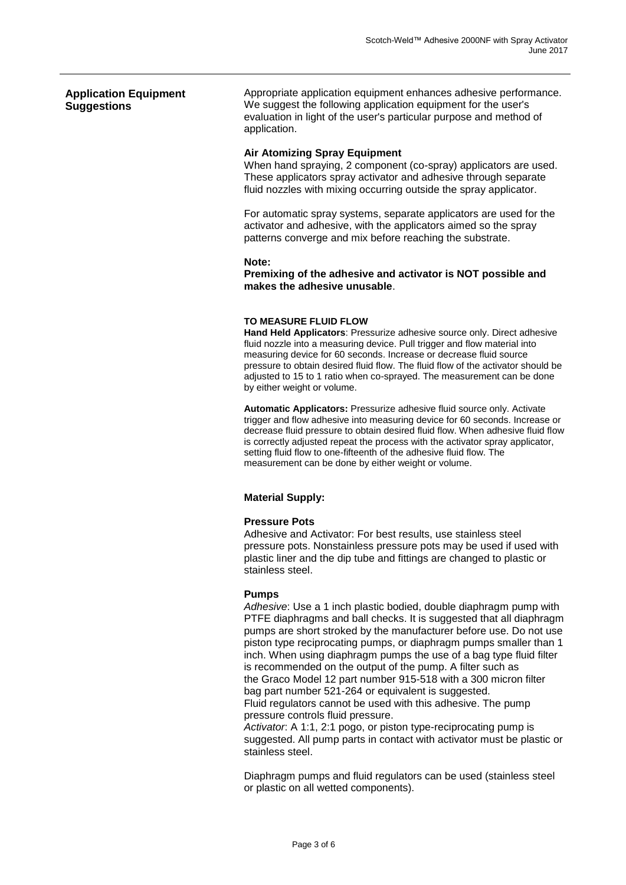#### **Application Equipment Suggestions** Appropriate application equipment enhances adhesive performance. We suggest the following application equipment for the user's evaluation in light of the user's particular purpose and method of application.

#### **Air Atomizing Spray Equipment**

When hand spraying, 2 component (co-spray) applicators are used. These applicators spray activator and adhesive through separate fluid nozzles with mixing occurring outside the spray applicator.

For automatic spray systems, separate applicators are used for the activator and adhesive, with the applicators aimed so the spray patterns converge and mix before reaching the substrate.

#### **Note:**

**Premixing of the adhesive and activator is NOT possible and makes the adhesive unusable**.

#### **TO MEASURE FLUID FLOW**

**Hand Held Applicators**: Pressurize adhesive source only. Direct adhesive fluid nozzle into a measuring device. Pull trigger and flow material into measuring device for 60 seconds. Increase or decrease fluid source pressure to obtain desired fluid flow. The fluid flow of the activator should be adjusted to 15 to 1 ratio when co-sprayed. The measurement can be done by either weight or volume.

**Automatic Applicators:** Pressurize adhesive fluid source only. Activate trigger and flow adhesive into measuring device for 60 seconds. Increase or decrease fluid pressure to obtain desired fluid flow. When adhesive fluid flow is correctly adjusted repeat the process with the activator spray applicator, setting fluid flow to one-fifteenth of the adhesive fluid flow. The measurement can be done by either weight or volume.

#### **Material Supply:**

#### **Pressure Pots**

Adhesive and Activator: For best results, use stainless steel pressure pots. Nonstainless pressure pots may be used if used with plastic liner and the dip tube and fittings are changed to plastic or stainless steel.

#### **Pumps**

*Adhesive*: Use a 1 inch plastic bodied, double diaphragm pump with PTFE diaphragms and ball checks. It is suggested that all diaphragm pumps are short stroked by the manufacturer before use. Do not use piston type reciprocating pumps, or diaphragm pumps smaller than 1 inch. When using diaphragm pumps the use of a bag type fluid filter is recommended on the output of the pump. A filter such as the Graco Model 12 part number 915-518 with a 300 micron filter bag part number 521-264 or equivalent is suggested. Fluid regulators cannot be used with this adhesive. The pump pressure controls fluid pressure.

*Activator*: A 1:1, 2:1 pogo, or piston type-reciprocating pump is suggested. All pump parts in contact with activator must be plastic or stainless steel.

Diaphragm pumps and fluid regulators can be used (stainless steel or plastic on all wetted components).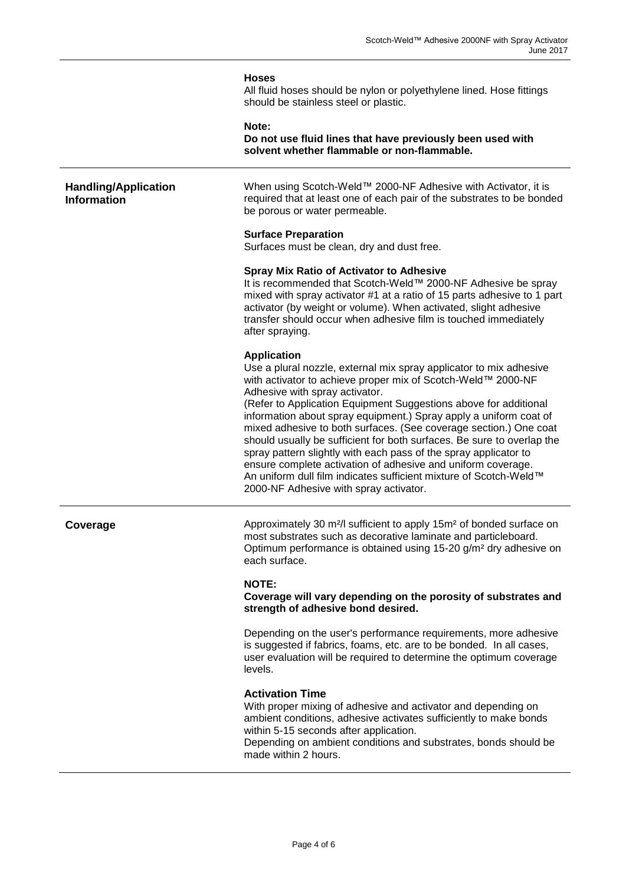#### **Hoses**

All fluid hoses should be nylon or polyethylene lined. Hose fittings should be stainless steel or plastic.

**Note:** 

**Do not use fluid lines that have previously been used with solvent whether flammable or non-flammable.**

#### **Handling/Application Information**

When using Scotch-Weld™ 2000-NF Adhesive with Activator, it is required that at least one of each pair of the substrates to be bonded be porous or water permeable.

#### **Surface Preparation**

Surfaces must be clean, dry and dust free.

#### **Spray Mix Ratio of Activator to Adhesive**

It is recommended that Scotch-Weld™ 2000-NF Adhesive be spray mixed with spray activator #1 at a ratio of 15 parts adhesive to 1 part activator (by weight or volume). When activated, slight adhesive transfer should occur when adhesive film is touched immediately after spraying.

#### **Application**

Use a plural nozzle, external mix spray applicator to mix adhesive with activator to achieve proper mix of Scotch-Weld™ 2000-NF Adhesive with spray activator.

(Refer to Application Equipment Suggestions above for additional information about spray equipment.) Spray apply a uniform coat of mixed adhesive to both surfaces. (See coverage section.) One coat should usually be sufficient for both surfaces. Be sure to overlap the spray pattern slightly with each pass of the spray applicator to ensure complete activation of adhesive and uniform coverage. An uniform dull film indicates sufficient mixture of Scotch-Weld™ 2000-NF Adhesive with spray activator.

**Coverage** Approximately 30 m<sup>2</sup>/l sufficient to apply 15m<sup>2</sup> of bonded surface on most substrates such as decorative laminate and particleboard. Optimum performance is obtained using 15-20 g/m² dry adhesive on each surface.

#### **NOTE:**

**Coverage will vary depending on the porosity of substrates and strength of adhesive bond desired.**

Depending on the user's performance requirements, more adhesive is suggested if fabrics, foams, etc. are to be bonded. In all cases, user evaluation will be required to determine the optimum coverage levels.

#### **Activation Time**

With proper mixing of adhesive and activator and depending on ambient conditions, adhesive activates sufficiently to make bonds within 5-15 seconds after application.

Depending on ambient conditions and substrates, bonds should be made within 2 hours.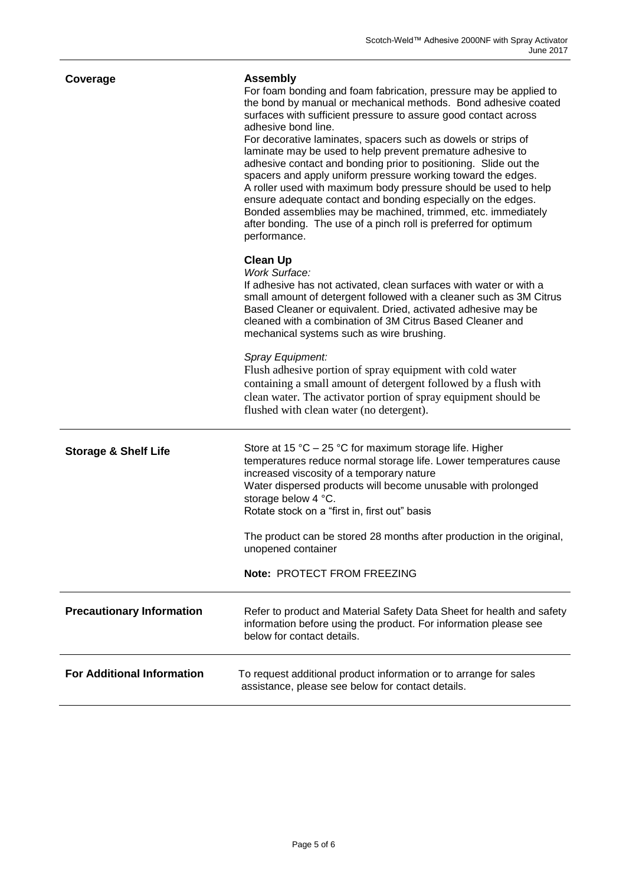| Coverage                          | <b>Assembly</b><br>For foam bonding and foam fabrication, pressure may be applied to<br>the bond by manual or mechanical methods. Bond adhesive coated<br>surfaces with sufficient pressure to assure good contact across<br>adhesive bond line.<br>For decorative laminates, spacers such as dowels or strips of<br>laminate may be used to help prevent premature adhesive to<br>adhesive contact and bonding prior to positioning. Slide out the<br>spacers and apply uniform pressure working toward the edges.<br>A roller used with maximum body pressure should be used to help<br>ensure adequate contact and bonding especially on the edges.<br>Bonded assemblies may be machined, trimmed, etc. immediately<br>after bonding. The use of a pinch roll is preferred for optimum<br>performance. |
|-----------------------------------|-----------------------------------------------------------------------------------------------------------------------------------------------------------------------------------------------------------------------------------------------------------------------------------------------------------------------------------------------------------------------------------------------------------------------------------------------------------------------------------------------------------------------------------------------------------------------------------------------------------------------------------------------------------------------------------------------------------------------------------------------------------------------------------------------------------|
|                                   | <b>Clean Up</b><br><b>Work Surface:</b><br>If adhesive has not activated, clean surfaces with water or with a<br>small amount of detergent followed with a cleaner such as 3M Citrus<br>Based Cleaner or equivalent. Dried, activated adhesive may be<br>cleaned with a combination of 3M Citrus Based Cleaner and<br>mechanical systems such as wire brushing.                                                                                                                                                                                                                                                                                                                                                                                                                                           |
|                                   | Spray Equipment:<br>Flush adhesive portion of spray equipment with cold water<br>containing a small amount of detergent followed by a flush with<br>clean water. The activator portion of spray equipment should be<br>flushed with clean water (no detergent).                                                                                                                                                                                                                                                                                                                                                                                                                                                                                                                                           |
| <b>Storage &amp; Shelf Life</b>   | Store at 15 °C - 25 °C for maximum storage life. Higher<br>temperatures reduce normal storage life. Lower temperatures cause<br>increased viscosity of a temporary nature<br>Water dispersed products will become unusable with prolonged<br>storage below 4 °C.<br>Rotate stock on a "first in, first out" basis                                                                                                                                                                                                                                                                                                                                                                                                                                                                                         |
|                                   | The product can be stored 28 months after production in the original,<br>unopened container                                                                                                                                                                                                                                                                                                                                                                                                                                                                                                                                                                                                                                                                                                               |
|                                   | Note: PROTECT FROM FREEZING                                                                                                                                                                                                                                                                                                                                                                                                                                                                                                                                                                                                                                                                                                                                                                               |
| <b>Precautionary Information</b>  | Refer to product and Material Safety Data Sheet for health and safety<br>information before using the product. For information please see<br>below for contact details.                                                                                                                                                                                                                                                                                                                                                                                                                                                                                                                                                                                                                                   |
| <b>For Additional Information</b> | To request additional product information or to arrange for sales<br>assistance, please see below for contact details.                                                                                                                                                                                                                                                                                                                                                                                                                                                                                                                                                                                                                                                                                    |